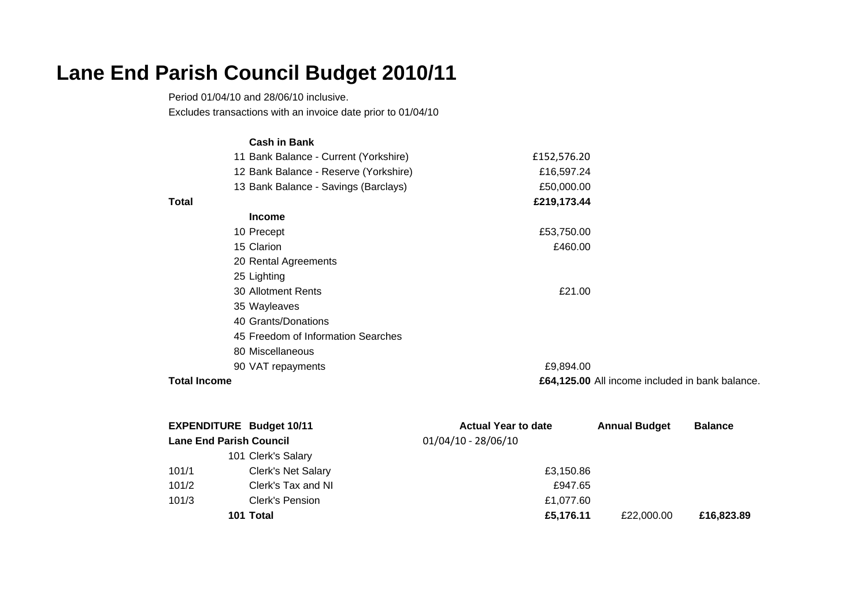## **Lane End Parish Council Budget 2010/11**

Period 01/04/10 and 28/06/10 inclusive. Excludes transactions with an invoice date prior to 01/04/10

|                     | <b>Cash in Bank</b>                   |             |                                                 |
|---------------------|---------------------------------------|-------------|-------------------------------------------------|
|                     | 11 Bank Balance - Current (Yorkshire) | £152,576.20 |                                                 |
|                     | 12 Bank Balance - Reserve (Yorkshire) | £16,597.24  |                                                 |
|                     | 13 Bank Balance - Savings (Barclays)  | £50,000.00  |                                                 |
| <b>Total</b>        |                                       | £219,173.44 |                                                 |
|                     | <b>Income</b>                         |             |                                                 |
|                     | 10 Precept                            | £53,750.00  |                                                 |
|                     | 15 Clarion                            | £460.00     |                                                 |
|                     | 20 Rental Agreements                  |             |                                                 |
|                     | 25 Lighting                           |             |                                                 |
|                     | 30 Allotment Rents                    | £21.00      |                                                 |
|                     | 35 Wayleaves                          |             |                                                 |
|                     | 40 Grants/Donations                   |             |                                                 |
|                     | 45 Freedom of Information Searches    |             |                                                 |
|                     | 80 Miscellaneous                      |             |                                                 |
|                     | 90 VAT repayments                     | £9,894.00   |                                                 |
| <b>Total Income</b> |                                       |             | £64,125.00 All income included in bank balance. |

|       | <b>EXPENDITURE Budget 10/11</b> | <b>Actual Year to date</b> | <b>Annual Budget</b> | <b>Balance</b> |
|-------|---------------------------------|----------------------------|----------------------|----------------|
|       | <b>Lane End Parish Council</b>  | $01/04/10 - 28/06/10$      |                      |                |
|       | 101 Clerk's Salary              |                            |                      |                |
| 101/1 | <b>Clerk's Net Salary</b>       | £3,150.86                  |                      |                |
| 101/2 | Clerk's Tax and NI              | £947.65                    |                      |                |
| 101/3 | Clerk's Pension                 | £1.077.60                  |                      |                |
|       | 101 Total                       | £5,176.11                  | £22,000,00           | £16,823,89     |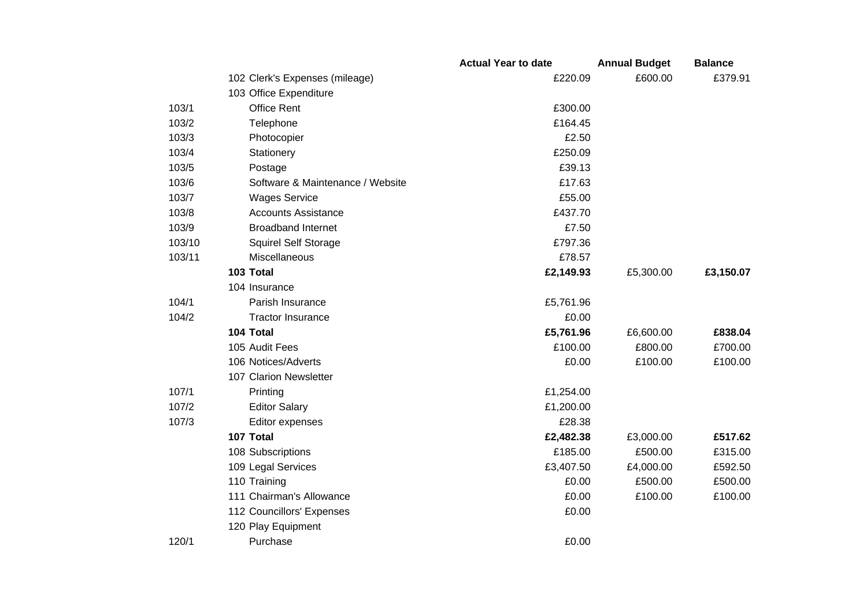|        |                                  | <b>Actual Year to date</b> | <b>Annual Budget</b> | <b>Balance</b> |
|--------|----------------------------------|----------------------------|----------------------|----------------|
|        | 102 Clerk's Expenses (mileage)   | £220.09                    | £600.00              | £379.91        |
|        | 103 Office Expenditure           |                            |                      |                |
| 103/1  | <b>Office Rent</b>               | £300.00                    |                      |                |
| 103/2  | Telephone                        | £164.45                    |                      |                |
| 103/3  | Photocopier                      | £2.50                      |                      |                |
| 103/4  | Stationery                       | £250.09                    |                      |                |
| 103/5  | Postage                          | £39.13                     |                      |                |
| 103/6  | Software & Maintenance / Website | £17.63                     |                      |                |
| 103/7  | <b>Wages Service</b>             | £55.00                     |                      |                |
| 103/8  | <b>Accounts Assistance</b>       | £437.70                    |                      |                |
| 103/9  | <b>Broadband Internet</b>        | £7.50                      |                      |                |
| 103/10 | Squirel Self Storage             | £797.36                    |                      |                |
| 103/11 | Miscellaneous                    | £78.57                     |                      |                |
|        | 103 Total                        | £2,149.93                  | £5,300.00            | £3,150.07      |
|        | 104 Insurance                    |                            |                      |                |
| 104/1  | Parish Insurance                 | £5,761.96                  |                      |                |
| 104/2  | <b>Tractor Insurance</b>         | £0.00                      |                      |                |
|        | 104 Total                        | £5,761.96                  | £6,600.00            | £838.04        |
|        | 105 Audit Fees                   | £100.00                    | £800.00              | £700.00        |
|        | 106 Notices/Adverts              | £0.00                      | £100.00              | £100.00        |
|        | 107 Clarion Newsletter           |                            |                      |                |
| 107/1  | Printing                         | £1,254.00                  |                      |                |
| 107/2  | <b>Editor Salary</b>             | £1,200.00                  |                      |                |
| 107/3  | Editor expenses                  | £28.38                     |                      |                |
|        | 107 Total                        | £2,482.38                  | £3,000.00            | £517.62        |
|        | 108 Subscriptions                | £185.00                    | £500.00              | £315.00        |
|        | 109 Legal Services               | £3,407.50                  | £4,000.00            | £592.50        |
|        | 110 Training                     | £0.00                      | £500.00              | £500.00        |
|        | 111 Chairman's Allowance         | £0.00                      | £100.00              | £100.00        |
|        | 112 Councillors' Expenses        | £0.00                      |                      |                |
|        | 120 Play Equipment               |                            |                      |                |
| 120/1  | Purchase                         | £0.00                      |                      |                |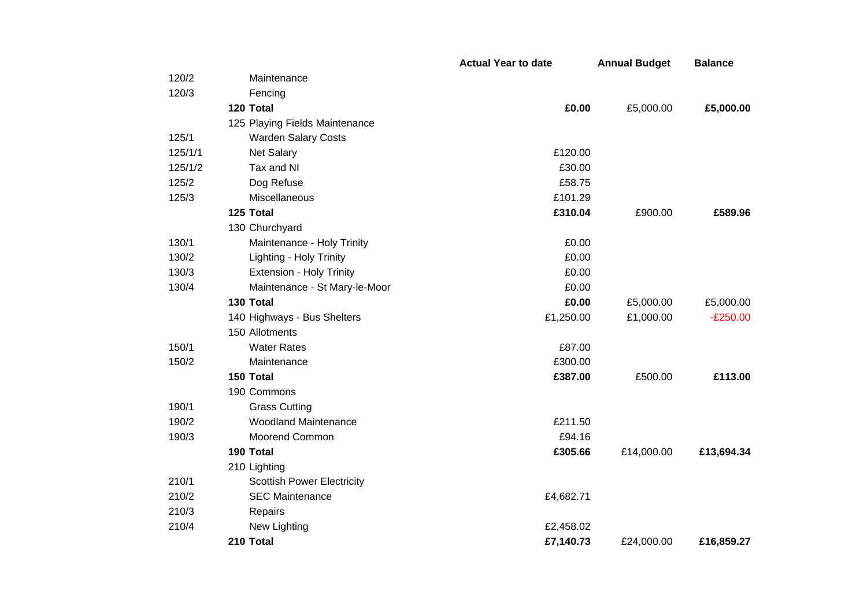|         |                                   | <b>Actual Year to date</b> | <b>Annual Budget</b> | <b>Balance</b> |
|---------|-----------------------------------|----------------------------|----------------------|----------------|
| 120/2   | Maintenance                       |                            |                      |                |
| 120/3   | Fencing                           |                            |                      |                |
|         | 120 Total                         | £0.00                      | £5,000.00            | £5,000.00      |
|         | 125 Playing Fields Maintenance    |                            |                      |                |
| 125/1   | <b>Warden Salary Costs</b>        |                            |                      |                |
| 125/1/1 | <b>Net Salary</b>                 | £120.00                    |                      |                |
| 125/1/2 | Tax and NI                        | £30.00                     |                      |                |
| 125/2   | Dog Refuse                        | £58.75                     |                      |                |
| 125/3   | Miscellaneous                     | £101.29                    |                      |                |
|         | 125 Total                         | £310.04                    | £900.00              | £589.96        |
|         | 130 Churchyard                    |                            |                      |                |
| 130/1   | Maintenance - Holy Trinity        | £0.00                      |                      |                |
| 130/2   | Lighting - Holy Trinity           | £0.00                      |                      |                |
| 130/3   | <b>Extension - Holy Trinity</b>   | £0.00                      |                      |                |
| 130/4   | Maintenance - St Mary-le-Moor     | £0.00                      |                      |                |
|         | 130 Total                         | £0.00                      | £5,000.00            | £5,000.00      |
|         | 140 Highways - Bus Shelters       | £1,250.00                  | £1,000.00            | $-E250.00$     |
|         | 150 Allotments                    |                            |                      |                |
| 150/1   | <b>Water Rates</b>                | £87.00                     |                      |                |
| 150/2   | Maintenance                       | £300.00                    |                      |                |
|         | 150 Total                         | £387.00                    | £500.00              | £113.00        |
|         | 190 Commons                       |                            |                      |                |
| 190/1   | <b>Grass Cutting</b>              |                            |                      |                |
| 190/2   | <b>Woodland Maintenance</b>       | £211.50                    |                      |                |
| 190/3   | Moorend Common                    | £94.16                     |                      |                |
|         | 190 Total                         | £305.66                    | £14,000.00           | £13,694.34     |
|         | 210 Lighting                      |                            |                      |                |
| 210/1   | <b>Scottish Power Electricity</b> |                            |                      |                |
| 210/2   | <b>SEC Maintenance</b>            | £4,682.71                  |                      |                |
| 210/3   | Repairs                           |                            |                      |                |
| 210/4   | New Lighting                      | £2,458.02                  |                      |                |
|         | 210 Total                         | £7,140.73                  | £24,000.00           | £16,859.27     |